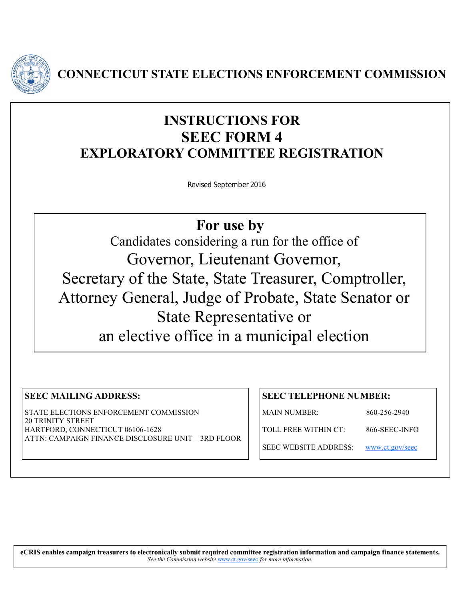

**CONNECTICUT STATE ELECTIONS ENFORCEMENT COMMISSION**

# **INSTRUCTIONS FOR SEEC FORM 4 EXPLORATORY COMMITTEE REGISTRATION**

Revised September 2016

**For use by** 

Candidates considering a run for the office of Governor, Lieutenant Governor, Secretary of the State, State Treasurer, Comptroller, Attorney General, Judge of Probate, State Senator or State Representative or an elective office in a municipal election

# **SEEC MAILING ADDRESS:**

STATE ELECTIONS ENFORCEMENT COMMISSION 20 TRINITY STREET HARTFORD, CONNECTICUT 06106-1628 ATTN: CAMPAIGN FINANCE DISCLOSURE UNIT—3RD FLOOR

# **SEEC TELEPHONE NUMBER:**

MAIN NUMBER: 860-256-2940

TOLL FREE WITHIN CT: 866-SEEC-INFO

SEEC WEBSITE ADDRESS: [www.ct.gov/seec](http://www.ct.gov/seec)

**eCRIS enables campaign treasurers to electronically submit required committee registration information and campaign finance statements.**  *See the Commission website* [www.ct.gov/seec](http://www.ct.gov/seec) *for more information.*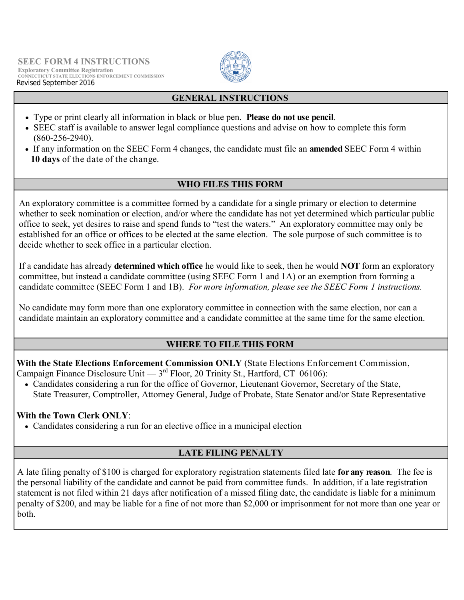

# **GENERAL INSTRUCTIONS**

- Type or print clearly all information in black or blue pen. **Please do not use pencil**.
- SEEC staff is available to answer legal compliance questions and advise on how to complete this form (860-256-2940).
- If any information on the SEEC Form 4 changes, the candidate must file an **amended** SEEC Form 4 within **10 days** of the date of the change.

#### **WHO FILES THIS FORM**

An exploratory committee is a committee formed by a candidate for a single primary or election to determine whether to seek nomination or election, and/or where the candidate has not yet determined which particular public office to seek, yet desires to raise and spend funds to "test the waters." An exploratory committee may only be established for an office or offices to be elected at the same election. The sole purpose of such committee is to decide whether to seek office in a particular election.

If a candidate has already **determined which office** he would like to seek, then he would **NOT** form an exploratory committee, but instead a candidate committee (using SEEC Form 1 and 1A) or an exemption from forming a candidate committee (SEEC Form 1 and 1B). *For more information, please see the SEEC Form 1 instructions.* 

No candidate may form more than one exploratory committee in connection with the same election, nor can a candidate maintain an exploratory committee and a candidate committee at the same time for the same election.

#### **WHERE TO FILE THIS FORM**

**With the State Elections Enforcement Commission ONLY** (State Elections Enforcement Commission, Campaign Finance Disclosure Unit  $-3<sup>rd</sup>$  Floor, 20 Trinity St., Hartford, CT 06106):

 Candidates considering a run for the office of Governor, Lieutenant Governor, Secretary of the State, State Treasurer, Comptroller, Attorney General, Judge of Probate, State Senator and/or State Representative

#### **With the Town Clerk ONLY**:

Candidates considering a run for an elective office in a municipal election

# **LATE FILING PENALTY**

A late filing penalty of \$100 is charged for exploratory registration statements filed late **for any reason**. The fee is the personal liability of the candidate and cannot be paid from committee funds. In addition, if a late registration statement is not filed within 21 days after notification of a missed filing date, the candidate is liable for a minimum penalty of \$200, and may be liable for a fine of not more than \$2,000 or imprisonment for not more than one year or both.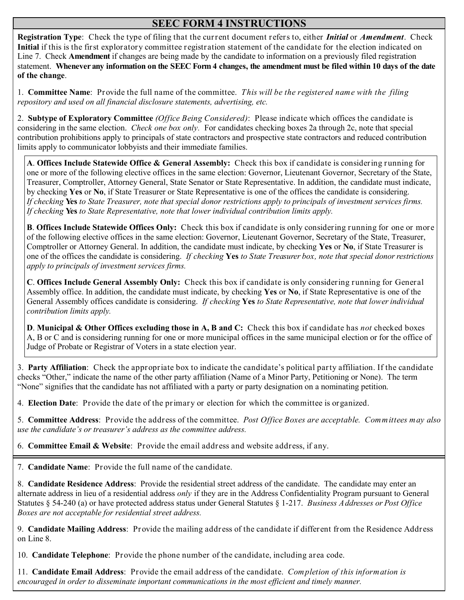# **SEEC FORM 4 INSTRUCTIONS**

**Registration Type**: Check the type of filing that the current document refers to, either *Initial* or *Amendment*. Check **Initial** if this is the first exploratory committee registration statement of the candidate for the election indicated on Line 7. Check **Amendment** if changes are being made by the candidate to information on a previously filed registration statement. **Whenever any information on the SEEC Form 4 changes, the amendment must be filed within 10 days of the date of the change**.

1. **Committee Name**: Provide the full name of the committee. *This will be the registered name with the filing repository and used on all financial disclosure statements, advertising, etc.* 

2. **Subtype of Exploratory Committee** *(Office Being Considered)*: Please indicate which offices the candidate is considering in the same election. *Check one box only.* For candidates checking boxes 2a through 2c, note that special contribution prohibitions apply to principals of state contractors and prospective state contractors and reduced contribution limits apply to communicator lobbyists and their immediate families.

**A**. **Offices Include Statewide Office & General Assembly:** Check this box if candidate is considering running for one or more of the following elective offices in the same election: Governor, Lieutenant Governor, Secretary of the State, Treasurer, Comptroller, Attorney General, State Senator or State Representative. In addition, the candidate must indicate, by checking **Yes** or **No**, if State Treasurer or State Representative is one of the offices the candidate is considering. *If checking* **Yes** *to State Treasurer, note that special donor restrictions apply to principals of investment services firms. If checking* **Yes** *to State Representative, note that lower individual contribution limits apply.*

**B**. **Offices Include Statewide Offices Only:** Check this box if candidate is only considering running for one or more of the following elective offices in the same election: Governor, Lieutenant Governor, Secretary of the State, Treasurer, Comptroller or Attorney General. In addition, the candidate must indicate, by checking **Yes** or **No**, if State Treasurer is one of the offices the candidate is considering. *If checking* **Yes** *to State Treasurer box, note that special donor restrictions apply to principals of investment services firms.* 

**C**. **Offices Include General Assembly Only:** Check this box if candidate is only considering running for General Assembly office. In addition, the candidate must indicate, by checking **Yes** or **No**, if State Representative is one of the General Assembly offices candidate is considering. *If checking* **Yes** *to State Representative, note that lower individual contribution limits apply.*

**D**. **Municipal & Other Offices excluding those in A, B and C:** Check this box if candidate has *not* checked boxes A, B or C and is considering running for one or more municipal offices in the same municipal election or for the office of Judge of Probate or Registrar of Voters in a state election year.

3. **Party Affiliation**: Check the appropriate box to indicate the candidate's political party affiliation. If the candidate checks "Other," indicate the name of the other party affiliation (Name of a Minor Party, Petitioning or None). The term "None" signifies that the candidate has not affiliated with a party or party designation on a nominating petition.

4. **Election Date**: Provide the date of the primary or election for which the committee is organized.

5. **Committee Address**: Provide the address of the committee. *Post Office Boxes are acceptable. Committees may also use the candidate's or treasurer's address as the committee address.*

6. **Committee Email & Website**: Provide the email address and website address, if any.

7. **Candidate Name**: Provide the full name of the candidate.

8. **Candidate Residence Address**:Provide the residential street address of the candidate. The candidate may enter an alternate address in lieu of a residential address *only* if they are in the Address Confidentiality Program pursuant to General Statutes § 54-240 (a) or have protected address status under General Statutes § 1-217. *Business Addresses or Post Office Boxes are not acceptable for residential street address.*

9. **Candidate Mailing Address**: Provide the mailing address of the candidate if different from the Residence Address on Line 8.

10. **Candidate Telephone**: Provide the phone number of the candidate, including area code.

11. **Candidate Email Address**: Provide the email address of the candidate. *Completion of this information is encouraged in order to disseminate important communications in the most efficient and timely manner.*